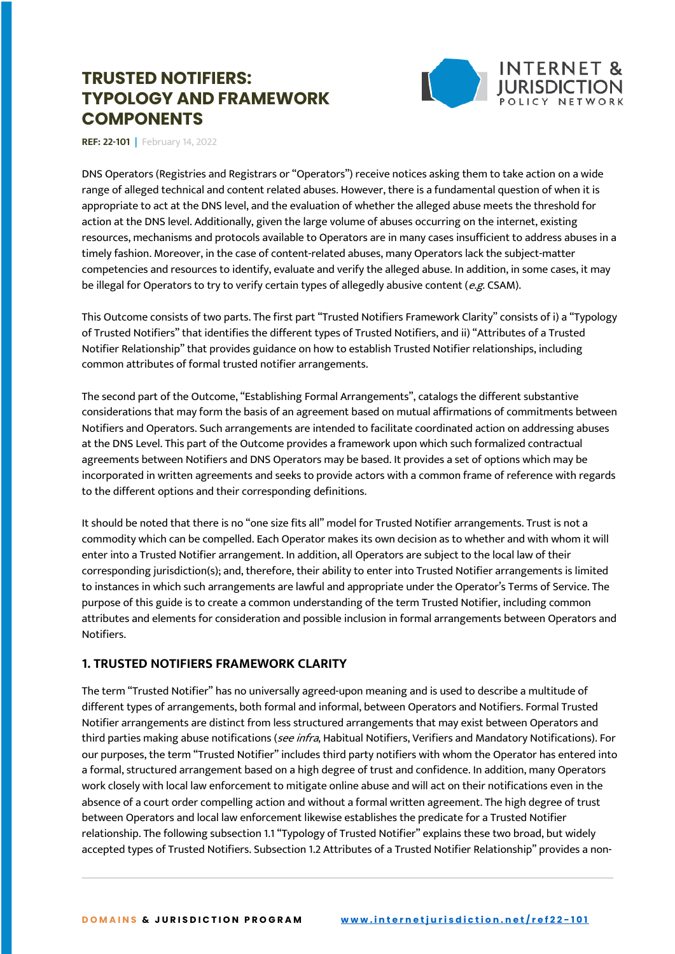

**REF: 22-101 |** February 14, 2022

DNS Operators (Registries and Registrars or "Operators") receive notices asking them to take action on a wide range of alleged technical and content related abuses. However, there is a fundamental question of when it is appropriate to act at the DNS level, and the evaluation of whether the alleged abuse meets the threshold for action at the DNS level. Additionally, given the large volume of abuses occurring on the internet, existing resources, mechanisms and protocols available to Operators are in many cases insufficient to address abuses in a timely fashion. Moreover, in the case of content-related abuses, many Operators lack the subject-matter competencies and resources to identify, evaluate and verify the alleged abuse. In addition, in some cases, it may be illegal for Operators to try to verify certain types of allegedly abusive content (e.g. CSAM).

This Outcome consists of two parts. The first part "Trusted Notifiers Framework Clarity" consists of i) a "Typology of Trusted Notifiers" that identifies the different types of Trusted Notifiers, and ii) "Attributes of a Trusted Notifier Relationship" that provides guidance on how to establish Trusted Notifier relationships, including common attributes of formal trusted notifier arrangements.

The second part of the Outcome, "Establishing Formal Arrangements", catalogs the different substantive considerations that may form the basis of an agreement based on mutual affirmations of commitments between Notifiers and Operators. Such arrangements are intended to facilitate coordinated action on addressing abuses at the DNS Level. This part of the Outcome provides a framework upon which such formalized contractual agreements between Notifiers and DNS Operators may be based. It provides a set of options which may be incorporated in written agreements and seeks to provide actors with a common frame of reference with regards to the different options and their corresponding definitions.

It should be noted that there is no "one size fits all" model for Trusted Notifier arrangements. Trust is not a commodity which can be compelled. Each Operator makes its own decision as to whether and with whom it will enter into a Trusted Notifier arrangement. In addition, all Operators are subject to the local law of their corresponding jurisdiction(s); and, therefore, their ability to enter into Trusted Notifier arrangements is limited to instances in which such arrangements are lawful and appropriate under the Operator's Terms of Service. The purpose of this guide is to create a common understanding of the term Trusted Notifier, including common attributes and elements for consideration and possible inclusion in formal arrangements between Operators and Notifiers.

# **1. TRUSTED NOTIFIERS FRAMEWORK CLARITY**

The term "Trusted Notifier" has no universally agreed-upon meaning and is used to describe a multitude of different types of arrangements, both formal and informal, between Operators and Notifiers. Formal Trusted Notifier arrangements are distinct from less structured arrangements that may exist between Operators and third parties making abuse notifications (see infra, Habitual Notifiers, Verifiers and Mandatory Notifications). For our purposes, the term "Trusted Notifier" includes third party notifiers with whom the Operator has entered into a formal, structured arrangement based on a high degree of trust and confidence. In addition, many Operators work closely with local law enforcement to mitigate online abuse and will act on their notifications even in the absence of a court order compelling action and without a formal written agreement. The high degree of trust between Operators and local law enforcement likewise establishes the predicate for a Trusted Notifier relationship. The following subsection 1.1 "Typology of Trusted Notifier" explains these two broad, but widely accepted types of Trusted Notifiers. Subsection 1.2 Attributes of a Trusted Notifier Relationship" provides a non-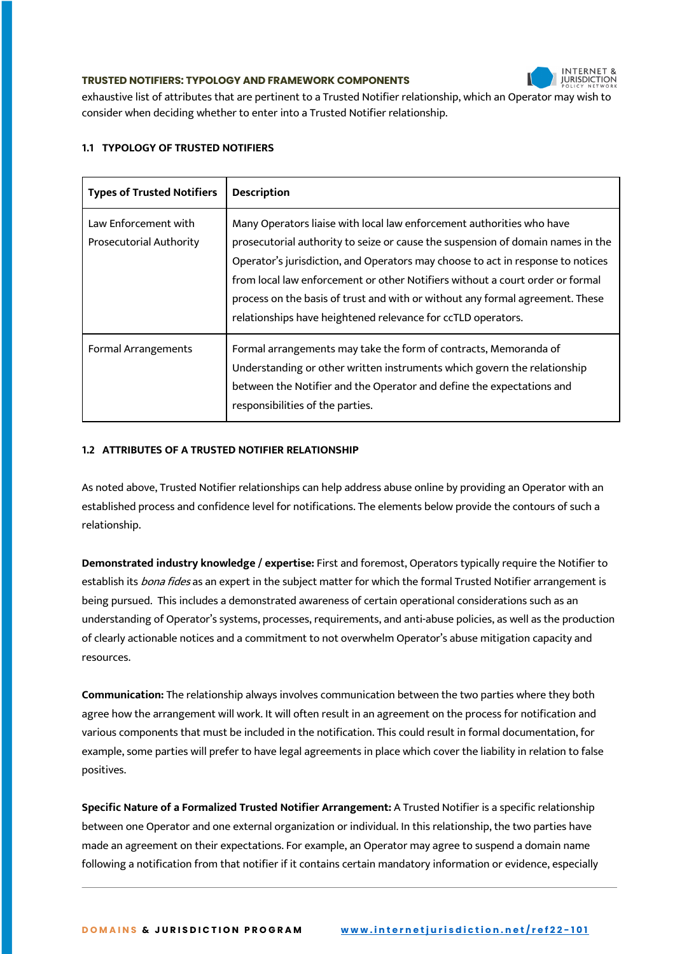## **INTERNET 8 JURISDICTION**

#### **TRUSTED NOTIFIERS: TYPOLOGY AND FRAMEWORK COMPONENTS**

exhaustive list of attributes that are pertinent to a Trusted Notifier relationship, which an Operator may wish to consider when deciding whether to enter into a Trusted Notifier relationship.

## **1.1 TYPOLOGY OF TRUSTED NOTIFIERS**

| <b>Types of Trusted Notifiers</b>                      | <b>Description</b>                                                                                                                                                                                                                                                                                                                                                                                                                                                            |
|--------------------------------------------------------|-------------------------------------------------------------------------------------------------------------------------------------------------------------------------------------------------------------------------------------------------------------------------------------------------------------------------------------------------------------------------------------------------------------------------------------------------------------------------------|
| Law Enforcement with<br><b>Prosecutorial Authority</b> | Many Operators liaise with local law enforcement authorities who have<br>prosecutorial authority to seize or cause the suspension of domain names in the<br>Operator's jurisdiction, and Operators may choose to act in response to notices<br>from local law enforcement or other Notifiers without a court order or formal<br>process on the basis of trust and with or without any formal agreement. These<br>relationships have heightened relevance for ccTLD operators. |
| <b>Formal Arrangements</b>                             | Formal arrangements may take the form of contracts, Memoranda of<br>Understanding or other written instruments which govern the relationship<br>between the Notifier and the Operator and define the expectations and<br>responsibilities of the parties.                                                                                                                                                                                                                     |

#### **1.2 ATTRIBUTES OF A TRUSTED NOTIFIER RELATIONSHIP**

As noted above, Trusted Notifier relationships can help address abuse online by providing an Operator with an established process and confidence level for notifications. The elements below provide the contours of such a relationship.

**Demonstrated industry knowledge / expertise:** First and foremost, Operators typically require the Notifier to establish its *bona fides* as an expert in the subject matter for which the formal Trusted Notifier arrangement is being pursued. This includes a demonstrated awareness of certain operational considerations such as an understanding of Operator's systems, processes, requirements, and anti-abuse policies, as well as the production of clearly actionable notices and a commitment to not overwhelm Operator's abuse mitigation capacity and resources.

**Communication:** The relationship always involves communication between the two parties where they both agree how the arrangement will work. It will often result in an agreement on the process for notification and various components that must be included in the notification. This could result in formal documentation, for example, some parties will prefer to have legal agreements in place which cover the liability in relation to false positives.

**Specific Nature of a Formalized Trusted Notifier Arrangement:** A Trusted Notifier is a specific relationship between one Operator and one external organization or individual. In this relationship, the two parties have made an agreement on their expectations. For example, an Operator may agree to suspend a domain name following a notification from that notifier if it contains certain mandatory information or evidence, especially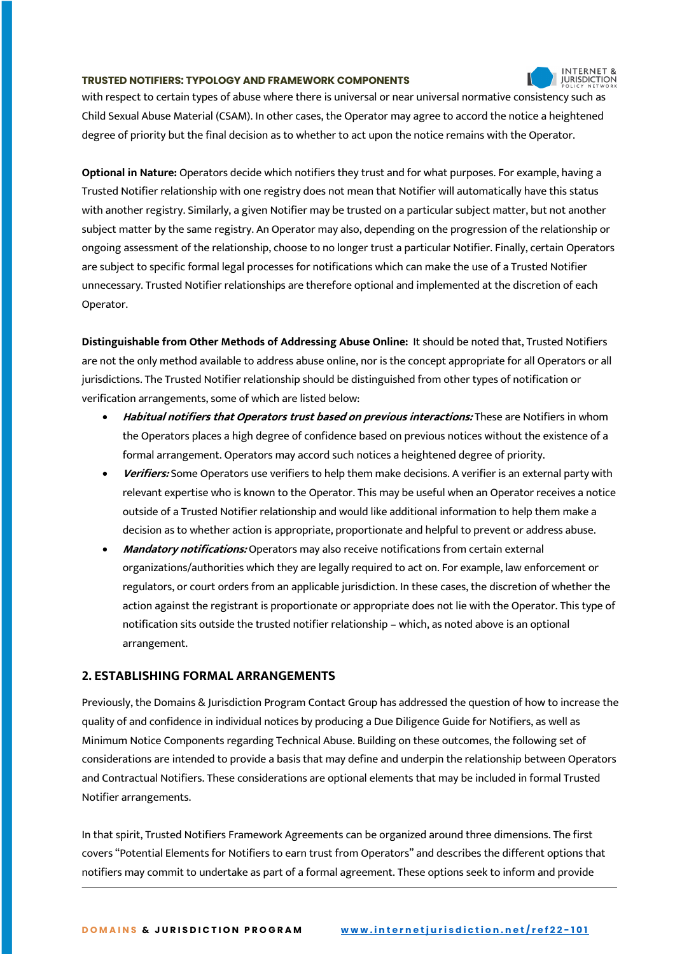with respect to certain types of abuse where there is universal or near universal normative consistency such as Child Sexual Abuse Material (CSAM). In other cases, the Operator may agree to accord the notice a heightened degree of priority but the final decision as to whether to act upon the notice remains with the Operator.

**INTERNET 8 JURISDICTION** 

**Optional in Nature:** Operators decide which notifiers they trust and for what purposes. For example, having a Trusted Notifier relationship with one registry does not mean that Notifier will automatically have this status with another registry. Similarly, a given Notifier may be trusted on a particular subject matter, but not another subject matter by the same registry. An Operator may also, depending on the progression of the relationship or ongoing assessment of the relationship, choose to no longer trust a particular Notifier. Finally, certain Operators are subject to specific formal legal processes for notifications which can make the use of a Trusted Notifier unnecessary. Trusted Notifier relationships are therefore optional and implemented at the discretion of each Operator.

**Distinguishable from Other Methods of Addressing Abuse Online:** It should be noted that, Trusted Notifiers are not the only method available to address abuse online, nor is the concept appropriate for all Operators or all jurisdictions. The Trusted Notifier relationship should be distinguished from other types of notification or verification arrangements, some of which are listed below:

- **Habitual notifiers that Operators trust based on previous interactions:** These are Notifiers in whom the Operators places a high degree of confidence based on previous notices without the existence of a formal arrangement. Operators may accord such notices a heightened degree of priority.
- **Verifiers:** Some Operators use verifiers to help them make decisions. A verifier is an external party with relevant expertise who is known to the Operator. This may be useful when an Operator receives a notice outside of a Trusted Notifier relationship and would like additional information to help them make a decision as to whether action is appropriate, proportionate and helpful to prevent or address abuse.
- **Mandatory notifications:** Operators may also receive notifications from certain external organizations/authorities which they are legally required to act on. For example, law enforcement or regulators, or court orders from an applicable jurisdiction. In these cases, the discretion of whether the action against the registrant is proportionate or appropriate does not lie with the Operator. This type of notification sits outside the trusted notifier relationship – which, as noted above is an optional arrangement.

# **2. ESTABLISHING FORMAL ARRANGEMENTS**

Previously, the Domains & Jurisdiction Program Contact Group has addressed the question of how to increase the quality of and confidence in individual notices by producing a Due Diligence Guide for Notifiers, as well as Minimum Notice Components regarding Technical Abuse. Building on these outcomes, the following set of considerations are intended to provide a basis that may define and underpin the relationship between Operators and Contractual Notifiers. These considerations are optional elements that may be included in formal Trusted Notifier arrangements.

In that spirit, Trusted Notifiers Framework Agreements can be organized around three dimensions. The first covers "Potential Elements for Notifiers to earn trust from Operators" and describes the different options that notifiers may commit to undertake as part of a formal agreement. These options seek to inform and provide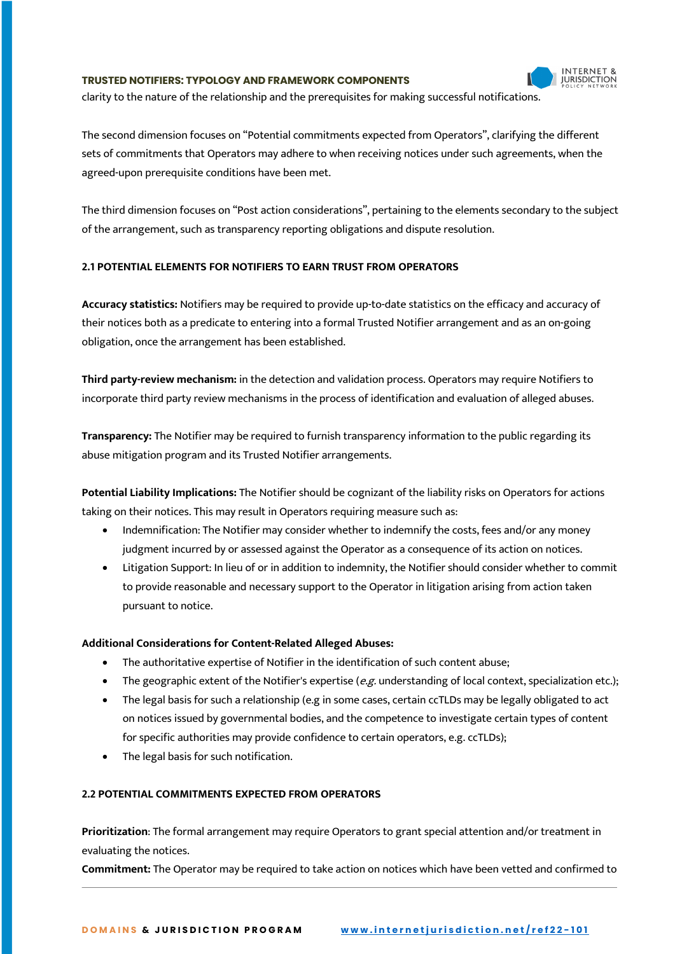

clarity to the nature of the relationship and the prerequisites for making successful notifications.

The second dimension focuses on "Potential commitments expected from Operators", clarifying the different sets of commitments that Operators may adhere to when receiving notices under such agreements, when the agreed-upon prerequisite conditions have been met.

The third dimension focuses on "Post action considerations", pertaining to the elements secondary to the subject of the arrangement, such as transparency reporting obligations and dispute resolution.

### **2.1 POTENTIAL ELEMENTS FOR NOTIFIERS TO EARN TRUST FROM OPERATORS**

**Accuracy statistics:** Notifiers may be required to provide up-to-date statistics on the efficacy and accuracy of their notices both as a predicate to entering into a formal Trusted Notifier arrangement and as an on-going obligation, once the arrangement has been established.

**Third party-review mechanism:** in the detection and validation process. Operators may require Notifiers to incorporate third party review mechanisms in the process of identification and evaluation of alleged abuses.

**Transparency:** The Notifier may be required to furnish transparency information to the public regarding its abuse mitigation program and its Trusted Notifier arrangements.

**Potential Liability Implications:** The Notifier should be cognizant of the liability risks on Operators for actions taking on their notices. This may result in Operators requiring measure such as:

- Indemnification: The Notifier may consider whether to indemnify the costs, fees and/or any money judgment incurred by or assessed against the Operator as a consequence of its action on notices.
- Litigation Support: In lieu of or in addition to indemnity, the Notifier should consider whether to commit to provide reasonable and necessary support to the Operator in litigation arising from action taken pursuant to notice.

#### **Additional Considerations for Content-Related Alleged Abuses:**

- The authoritative expertise of Notifier in the identification of such content abuse;
- The geographic extent of the Notifier's expertise ( $e.g.$  understanding of local context, specialization etc.);
- The legal basis for such a relationship (e.g in some cases, certain ccTLDs may be legally obligated to act on notices issued by governmental bodies, and the competence to investigate certain types of content for specific authorities may provide confidence to certain operators, e.g. ccTLDs);
- The legal basis for such notification.

# **2.2 POTENTIAL COMMITMENTS EXPECTED FROM OPERATORS**

**Prioritization**: The formal arrangement may require Operators to grant special attention and/or treatment in evaluating the notices.

**Commitment:** The Operator may be required to take action on notices which have been vetted and confirmed to